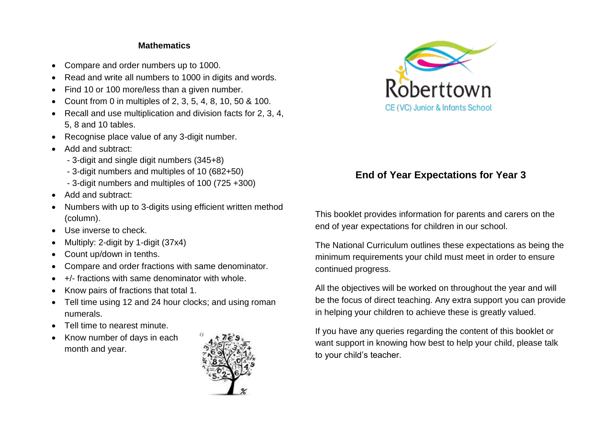#### **Mathematics**

- Compare and order numbers up to 1000.
- Read and write all numbers to 1000 in digits and words.
- Find 10 or 100 more/less than a given number.
- Count from 0 in multiples of 2, 3, 5, 4, 8, 10, 50 & 100.
- Recall and use multiplication and division facts for 2, 3, 4, 5, 8 and 10 tables.
- Recognise place value of any 3-digit number.
- Add and subtract:
	- 3-digit and single digit numbers (345+8)
	- 3-digit numbers and multiples of 10 (682+50)
	- 3-digit numbers and multiples of 100 (725 +300)
- Add and subtract:
- Numbers with up to 3-digits using efficient written method (column).
- Use inverse to check.
- Multiply: 2-digit by 1-digit (37x4)
- Count up/down in tenths.
- Compare and order fractions with same denominator.
- +/- fractions with same denominator with whole.
- Know pairs of fractions that total 1.
- Tell time using 12 and 24 hour clocks; and using roman numerals.
- Tell time to nearest minute.
- Know number of days in each month and year.





# **End of Year Expectations for Year 3**

This booklet provides information for parents and carers on the end of year expectations for children in our school.

The National Curriculum outlines these expectations as being the minimum requirements your child must meet in order to ensure continued progress.

All the objectives will be worked on throughout the year and will be the focus of direct teaching. Any extra support you can provide in helping your children to achieve these is greatly valued.

If you have any queries regarding the content of this booklet or want support in knowing how best to help your child, please talk to your child's teacher.